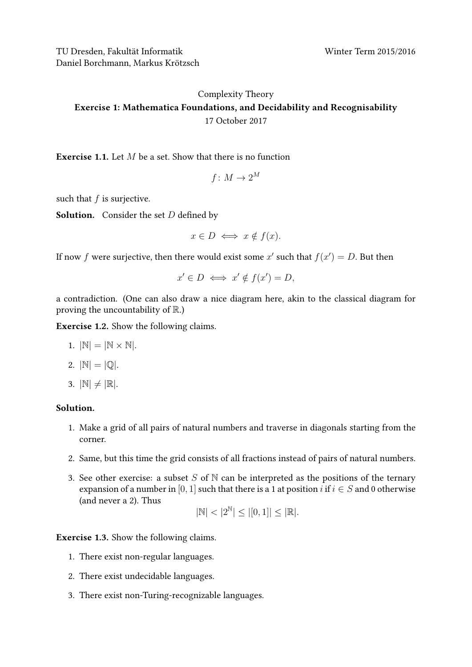TU Dresden, Fakultät Informatik Winter Term 2015/2016 Daniel Borchmann, Markus Krötzsch

## [Complexity Theory](https://iccl.inf.tu-dresden.de/web/Complexity_Theory_(WS2017/18)) Exercise 1: Mathematica Foundations, and Decidability and Recognisability 17 October 2017

**Exercise 1.1.** Let M be a set. Show that there is no function

$$
f\colon M\to 2^M
$$

such that  $f$  is surjective.

**Solution.** Consider the set  $D$  defined by

$$
x \in D \iff x \notin f(x).
$$

If now f were surjective, then there would exist some  $x'$  such that  $f(x') = D$ . But then

$$
x' \in D \iff x' \notin f(x') = D,
$$

a contradiction. (One can also draw a nice diagram here, akin to the classical diagram for proving the uncountability of  $\mathbb{R}$ .)

Exercise 1.2. Show the following claims.

- 1.  $|\mathbb{N}| = |\mathbb{N} \times \mathbb{N}|$ .
- 2.  $|\mathbb{N}| = |\mathbb{O}|.$
- 3.  $|\mathbb{N}| \neq |\mathbb{R}|$ .

## Solution.

- 1. Make a grid of all pairs of natural numbers and traverse in diagonals starting from the corner.
- 2. Same, but this time the grid consists of all fractions instead of pairs of natural numbers.
- 3. See other exercise: a subset S of N can be interpreted as the positions of the ternary expansion of a number in [0, 1] such that there is a 1 at position i if  $i \in S$  and 0 otherwise (and never a 2). Thus

$$
|\mathbb{N}|<|2^\mathbb{N}|\leq |[0,1]|\leq |\mathbb{R}|.
$$

Exercise 1.3. Show the following claims.

- 1. There exist non-regular languages.
- 2. There exist undecidable languages.
- 3. There exist non-Turing-recognizable languages.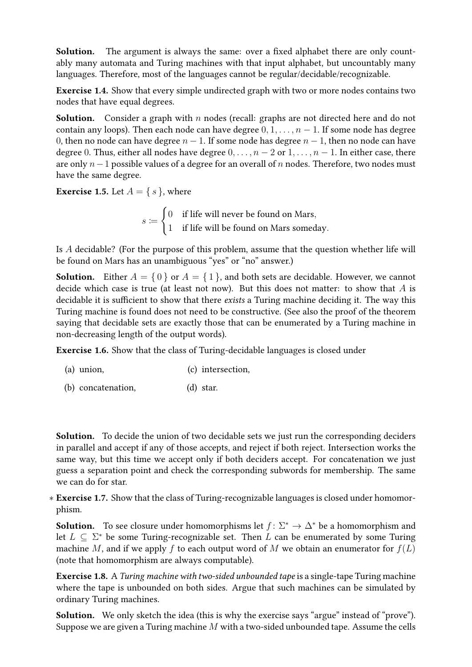Solution. The argument is always the same: over a fixed alphabet there are only countably many automata and Turing machines with that input alphabet, but uncountably many languages. Therefore, most of the languages cannot be regular/decidable/recognizable.

Exercise 1.4. Show that every simple undirected graph with two or more nodes contains two nodes that have equal degrees.

**Solution.** Consider a graph with  $n$  nodes (recall: graphs are not directed here and do not contain any loops). Then each node can have degree  $0, 1, \ldots, n-1$ . If some node has degree 0, then no node can have degree  $n - 1$ . If some node has degree  $n - 1$ , then no node can have degree 0. Thus, either all nodes have degree  $0, \ldots, n-2$  or  $1, \ldots, n-1$ . In either case, there are only  $n-1$  possible values of a degree for an overall of n nodes. Therefore, two nodes must have the same degree.

**Exercise 1.5.** Let  $A = \{ s \}$ , where

 $s \coloneqq$  $\int 0$  if life will never be found on Mars, 1 if life will be found on Mars someday.

Is A decidable? (For the purpose of this problem, assume that the question whether life will be found on Mars has an unambiguous "yes" or "no" answer.)

**Solution.** Either  $A = \{0\}$  or  $A = \{1\}$ , and both sets are decidable. However, we cannot decide which case is true (at least not now). But this does not matter: to show that  $A$  is decidable it is sufficient to show that there exists a Turing machine deciding it. The way this Turing machine is found does not need to be constructive. (See also the proof of the theorem saying that decidable sets are exactly those that can be enumerated by a Turing machine in non-decreasing length of the output words).

Exercise 1.6. Show that the class of Turing-decidable languages is closed under

- (a) union, (c) intersection,
- (b) concatenation, (d) star.

Solution. To decide the union of two decidable sets we just run the corresponding deciders in parallel and accept if any of those accepts, and reject if both reject. Intersection works the same way, but this time we accept only if both deciders accept. For concatenation we just guess a separation point and check the corresponding subwords for membership. The same we can do for star.

∗ Exercise 1.7. Show that the class of Turing-recognizable languages is closed under homomorphism.

**Solution.** To see closure under homomorphisms let  $f: \Sigma^* \to \Delta^*$  be a homomorphism and let  $L \subseteq \Sigma^*$  be some Turing-recognizable set. Then L can be enumerated by some Turing machine M, and if we apply f to each output word of M we obtain an enumerator for  $f(L)$ (note that homomorphism are always computable).

Exercise 1.8. A Turing machine with two-sided unbounded tape is a single-tape Turing machine where the tape is unbounded on both sides. Argue that such machines can be simulated by ordinary Turing machines.

Solution. We only sketch the idea (this is why the exercise says "argue" instead of "prove"). Suppose we are given a Turing machine  $M$  with a two-sided unbounded tape. Assume the cells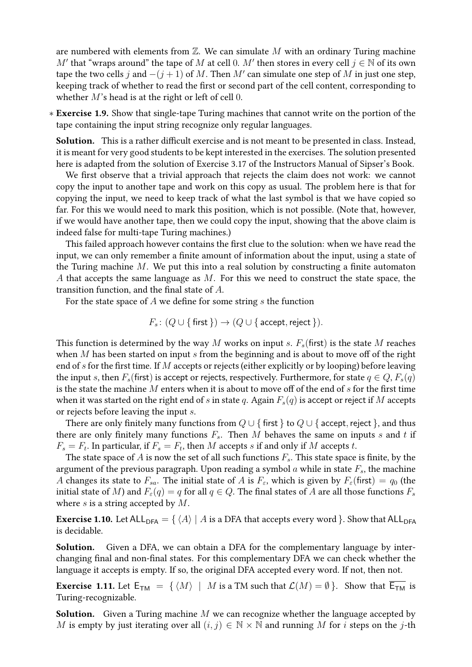are numbered with elements from  $\mathbb Z$ . We can simulate  $M$  with an ordinary Turing machine M' that "wraps around" the tape of M at cell 0. M' then stores in every cell  $j \in \mathbb{N}$  of its own tape the two cells  $j$  and  $-(j + 1)$  of  $M$ . Then  $M'$  can simulate one step of  $M$  in just one step, keeping track of whether to read the first or second part of the cell content, corresponding to whether  $M$ 's head is at the right or left of cell 0.

∗ Exercise 1.9. Show that single-tape Turing machines that cannot write on the portion of the tape containing the input string recognize only regular languages.

Solution. This is a rather difficult exercise and is not meant to be presented in class. Instead, it is meant for very good students to be kept interested in the exercises. The solution presented here is adapted from the solution of Exercise 3.17 of the Instructors Manual of Sipser's Book.

We first observe that a trivial approach that rejects the claim does not work: we cannot copy the input to another tape and work on this copy as usual. The problem here is that for copying the input, we need to keep track of what the last symbol is that we have copied so far. For this we would need to mark this position, which is not possible. (Note that, however, if we would have another tape, then we could copy the input, showing that the above claim is indeed false for multi-tape Turing machines.)

This failed approach however contains the first clue to the solution: when we have read the input, we can only remember a finite amount of information about the input, using a state of the Turing machine  $M$ . We put this into a real solution by constructing a finite automaton A that accepts the same language as  $M$ . For this we need to construct the state space, the transition function, and the final state of  $A$ .

For the state space of  $A$  we define for some string  $s$  the function

$$
F_s \colon (Q \cup \{\text{first}\}) \to (Q \cup \{\text{accept}, \text{reject}\}).
$$

This function is determined by the way M works on input s.  $F_s$  (first) is the state M reaches when M has been started on input s from the beginning and is about to move off of the right end of  $s$  for the first time. If  $M$  accepts or rejects (either explicitly or by looping) before leaving the input s, then  $F_s$ (first) is accept or rejects, respectively. Furthermore, for state  $q \in Q$ ,  $F_s(q)$ is the state the machine  $M$  enters when it is about to move off of the end of  $s$  for the first time when it was started on the right end of s in state q. Again  $F_s(q)$  is accept or reject if M accepts or rejects before leaving the input s.

There are only finitely many functions from  $Q \cup \{\text{first }\}$  to  $Q \cup \{\text{accept, reject }\}$ , and thus there are only finitely many functions  $F_s$ . Then M behaves the same on inputs s and t if  $F_s = F_t$ . In particular, if  $F_s = F_t$ , then M accepts s if and only if M accepts t.

The state space of A is now the set of all such functions  $F_s$ . This state space is finite, by the argument of the previous paragraph. Upon reading a symbol  $a$  while in state  $F_s$ , the machine A changes its state to  $F_{sa}$ . The initial state of A is  $F_{\varepsilon}$ , which is given by  $F_{\varepsilon}$ (first) =  $q_0$  (the initial state of M) and  $F_{\varepsilon}(q) = q$  for all  $q \in Q$ . The final states of A are all those functions  $F_s$ where  $s$  is a string accepted by  $M$ .

**Exercise 1.10.** Let ALL<sub>DFA</sub> =  $\{ \langle A \rangle \mid A \text{ is a DFA that accepts every word } \}.$  Show that ALL<sub>DFA</sub> is decidable.

Solution. Given a DFA, we can obtain a DFA for the complementary language by interchanging final and non-final states. For this complementary DFA we can check whether the language it accepts is empty. If so, the original DFA accepted every word. If not, then not.

**Exercise 1.11.** Let  $E_{TM} = \{ \langle M \rangle \mid M \text{ is a TM such that } \mathcal{L}(M) = \emptyset \}$ . Show that  $\overline{E_{TM}}$  is Turing-recognizable.

**Solution.** Given a Turing machine  $M$  we can recognize whether the language accepted by M is empty by just iterating over all  $(i, j) \in \mathbb{N} \times \mathbb{N}$  and running M for i steps on the j-th